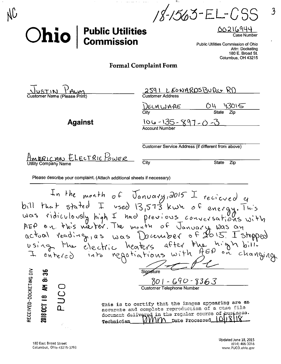$18 - 1563 - E[-CSS]$ 

## **Public Utilities<br>Commission** Ohio

 $\overline{\mathcal{L}}$ 

Public Utilities Commission of Ohio Attn: Docketing 180 E. Broad St. Columbus, OH 43215

## **Formal Complaint Form**

| WITZULZ                      |  |
|------------------------------|--|
| Customer Name (Please Print) |  |

**Against** 

| <b>Customer Address</b>   |                            |
|---------------------------|----------------------------|
| DELAWARE                  | 43015                      |
| City                      | <b>State</b><br><b>Zio</b> |
| $106 - 135 - 897 - 0 - 0$ |                            |
| <b>Account Number</b>     |                            |

2591 LEONARDSBURG RD

Customer Service Address (if different from above)

ELECTRIC POWER **Utility Company Name** 

City

**State** Zip

Please describe your complaint. (Attach additional sheets if necessary)

In the month of January, 2015 I recieved a<br>bill that stated I used 13,573 kwh of energy. This<br>was ridiculously high I had previous conversations with<br>actual reading, as was Docember of Journal was an<br>actual reading, as was Signature RECEIVED-DOCKETING OIV ္ကာ 2018 OCT 18 AM 8:  $\frac{\delta O l - G G O - 8363}{\text{Customer Telephone Number}}$ This is to certify that the images appearing are ap accurate and complete reproduction of a case file document delivered in the regular course of pusiness. VIV Date Processed Technician

Updated June 18, 2015  $(614)$  466-3016 www.PUCO.ohio.gov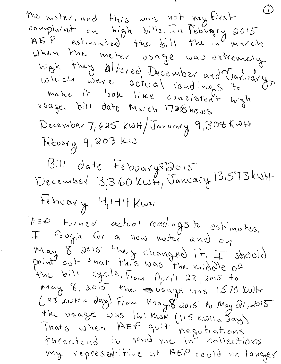the meter, and this was not my first complaint on high bills, In Febrogry 2015<br>AEP estimated the bill, the in march when the meter usage was extremely high they altered December and January make it look like consistent high usage. Bill date March 17,2015 hows December 7, 625 KWH/January 9, 308 KWH Febuary 9,203 KW  $1311$   $0$  ate Feboary 212015<br>December 3,360 KWH, January 13,573 KWH tebuary 4,144 Kwt These turned actual readings to estimates. May 8 2015 they changed it. I should<br>point out that this was the middle of the bill cycle, From April 22, 2015 to May 8, 2015, the suisage was 1,570 KWH  $(98 \text{ kult a day})$  From May  $8^{\circ}$ 2015 to May 21, 2015 the usage was 161 KWH (11.5 KWH a Jay) Thats when HEP guit negotiations my representitive at AEP could no longer